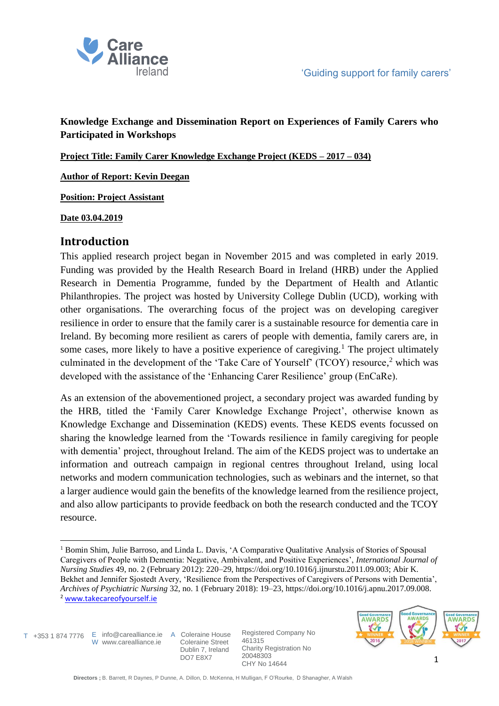

## **Knowledge Exchange and Dissemination Report on Experiences of Family Carers who Participated in Workshops**

**Project Title: Family Carer Knowledge Exchange Project (KEDS – 2017 – 034)**

**Author of Report: Kevin Deegan**

**Position: Project Assistant** 

### **Date 03.04.2019**

## **Introduction**

This applied research project began in November 2015 and was completed in early 2019. Funding was provided by the Health Research Board in Ireland (HRB) under the Applied Research in Dementia Programme, funded by the Department of Health and Atlantic Philanthropies. The project was hosted by University College Dublin (UCD), working with other organisations. The overarching focus of the project was on developing caregiver resilience in order to ensure that the family carer is a sustainable resource for dementia care in Ireland. By becoming more resilient as carers of people with dementia, family carers are, in some cases, more likely to have a positive experience of caregiving.<sup>1</sup> The project ultimately culminated in the development of the 'Take Care of Yourself' (TCOY) resource,<sup>2</sup> which was developed with the assistance of the 'Enhancing Carer Resilience' group (EnCaRe).

As an extension of the abovementioned project, a secondary project was awarded funding by the HRB, titled the 'Family Carer Knowledge Exchange Project', otherwise known as Knowledge Exchange and Dissemination (KEDS) events. These KEDS events focussed on sharing the knowledge learned from the 'Towards resilience in family caregiving for people with dementia' project, throughout Ireland. The aim of the KEDS project was to undertake an information and outreach campaign in regional centres throughout Ireland, using local networks and modern communication technologies, such as webinars and the internet, so that a larger audience would gain the benefits of the knowledge learned from the resilience project, and also allow participants to provide feedback on both the research conducted and the TCOY resource.

T +353 1 874 7776 E info@carealliance.ie A Coleraine House

W www.carealliance.ie

 Coleraine Street Dublin 7, Ireland DO7 E8X7



**<sup>.</sup>** <sup>1</sup> Bomin Shim, Julie Barroso, and Linda L. Davis, 'A Comparative Qualitative Analysis of Stories of Spousal Caregivers of People with Dementia: Negative, Ambivalent, and Positive Experiences', *International Journal of Nursing Studies* 49, no. 2 (February 2012): 220–29, https://doi.org/10.1016/j.ijnurstu.2011.09.003; Abir K. Bekhet and Jennifer Sjostedt Avery, 'Resilience from the Perspectives of Caregivers of Persons with Dementia', *Archives of Psychiatric Nursing* 32, no. 1 (February 2018): 19–23, https://doi.org/10.1016/j.apnu.2017.09.008. <sup>2</sup> [www.takecareofyourself.ie](http://www.takecareofyourself.ie/)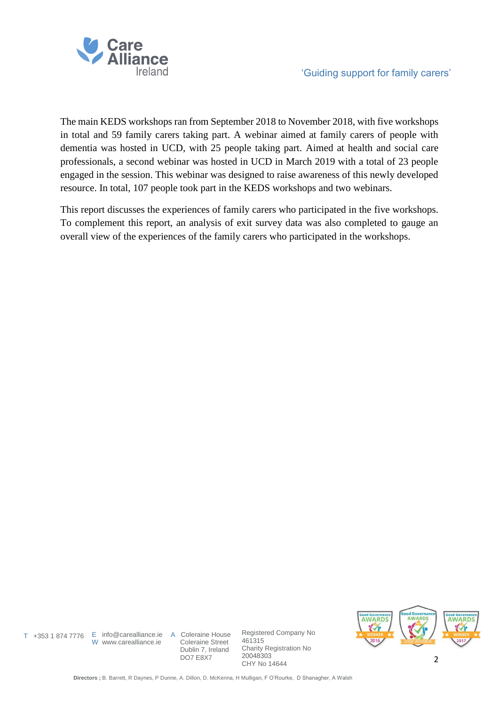

The main KEDS workshops ran from September 2018 to November 2018, with five workshops in total and 59 family carers taking part. A webinar aimed at family carers of people with dementia was hosted in UCD, with 25 people taking part. Aimed at health and social care professionals, a second webinar was hosted in UCD in March 2019 with a total of 23 people engaged in the session. This webinar was designed to raise awareness of this newly developed resource. In total, 107 people took part in the KEDS workshops and two webinars.

This report discusses the experiences of family carers who participated in the five workshops. To complement this report, an analysis of exit survey data was also completed to gauge an overall view of the experiences of the family carers who participated in the workshops.

W www.carealliance.ie

T +353 1 874 7776 E info@carealliance.ie A Coleraine House Coleraine Street Dublin 7, Ireland DO7 E8X7

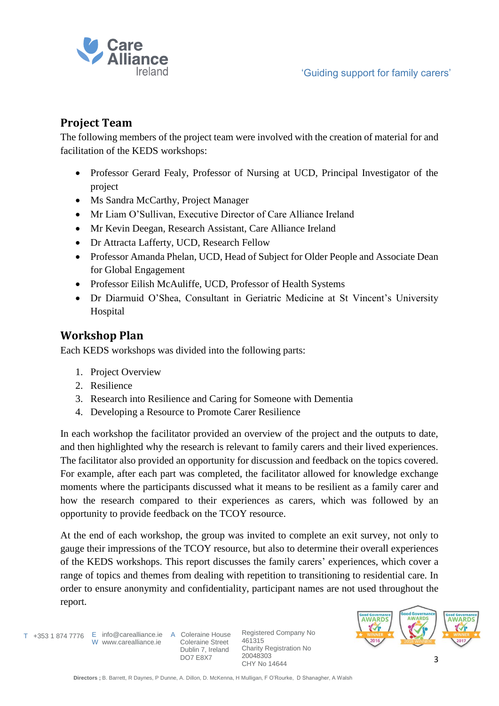

# **Project Team**

The following members of the project team were involved with the creation of material for and facilitation of the KEDS workshops:

- Professor Gerard Fealy, Professor of Nursing at UCD, Principal Investigator of the project
- Ms Sandra McCarthy, Project Manager
- Mr Liam O'Sullivan, Executive Director of Care Alliance Ireland
- Mr Kevin Deegan, Research Assistant, Care Alliance Ireland
- Dr Attracta Lafferty, UCD, Research Fellow
- Professor Amanda Phelan, UCD, Head of Subject for Older People and Associate Dean for Global Engagement
- Professor Eilish McAuliffe, UCD, Professor of Health Systems
- Dr Diarmuid O'Shea, Consultant in Geriatric Medicine at St Vincent's University Hospital

# **Workshop Plan**

Each KEDS workshops was divided into the following parts:

- 1. Project Overview
- 2. Resilience
- 3. Research into Resilience and Caring for Someone with Dementia
- 4. Developing a Resource to Promote Carer Resilience

In each workshop the facilitator provided an overview of the project and the outputs to date, and then highlighted why the research is relevant to family carers and their lived experiences. The facilitator also provided an opportunity for discussion and feedback on the topics covered. For example, after each part was completed, the facilitator allowed for knowledge exchange moments where the participants discussed what it means to be resilient as a family carer and how the research compared to their experiences as carers, which was followed by an opportunity to provide feedback on the TCOY resource.

At the end of each workshop, the group was invited to complete an exit survey, not only to gauge their impressions of the TCOY resource, but also to determine their overall experiences of the KEDS workshops. This report discusses the family carers' experiences, which cover a range of topics and themes from dealing with repetition to transitioning to residential care. In order to ensure anonymity and confidentiality, participant names are not used throughout the report.

T +353 1 874 7776 E info@carealliance.ie A Coleraine House W www.carealliance.ie

 Coleraine Street Dublin 7, Ireland DO7 E8X7

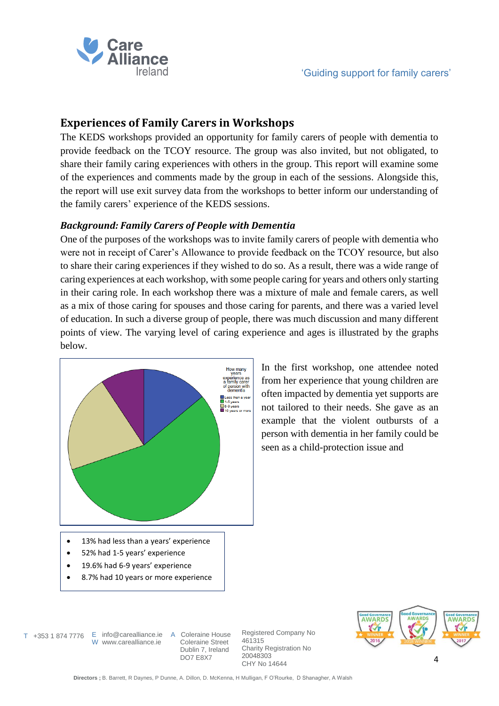

# **Experiences of Family Carers in Workshops**

The KEDS workshops provided an opportunity for family carers of people with dementia to provide feedback on the TCOY resource. The group was also invited, but not obligated, to share their family caring experiences with others in the group. This report will examine some of the experiences and comments made by the group in each of the sessions. Alongside this, the report will use exit survey data from the workshops to better inform our understanding of the family carers' experience of the KEDS sessions.

## *Background: Family Carers of People with Dementia*

One of the purposes of the workshops was to invite family carers of people with dementia who were not in receipt of Carer's Allowance to provide feedback on the TCOY resource, but also to share their caring experiences if they wished to do so. As a result, there was a wide range of caring experiences at each workshop, with some people caring for years and others only starting in their caring role. In each workshop there was a mixture of male and female carers, as well as a mix of those caring for spouses and those caring for parents, and there was a varied level of education. In such a diverse group of people, there was much discussion and many different points of view. The varying level of caring experience and ages is illustrated by the graphs below.



In the first workshop, one attendee noted from her experience that young children are often impacted by dementia yet supports are not tailored to their needs. She gave as an example that the violent outbursts of a person with dementia in her family could be seen as a child-protection issue and

- 13% had less than a years' experience
- 52% had 1-5 years' experience
- 19.6% had 6-9 years' experience
- 8.7% had 10 years or more experience

T +353 1 874 7776 E info@carealliance.ie A Coleraine House

W www.carealliance.ie

 Coleraine Street Dublin 7, Ireland DO7 E8X7

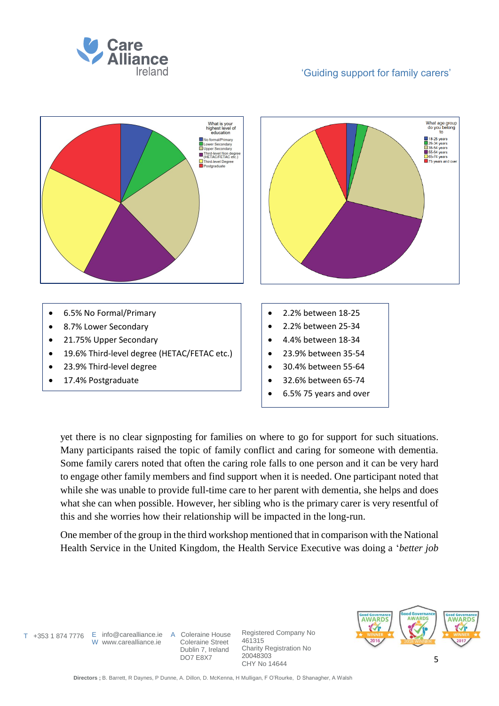



yet there is no clear signposting for families on where to go for support for such situations. Many participants raised the topic of family conflict and caring for someone with dementia. Some family carers noted that often the caring role falls to one person and it can be very hard to engage other family members and find support when it is needed. One participant noted that while she was unable to provide full-time care to her parent with dementia, she helps and does what she can when possible. However, her sibling who is the primary carer is very resentful of this and she worries how their relationship will be impacted in the long-run.

One member of the group in the third workshop mentioned that in comparison with the National Health Service in the United Kingdom, the Health Service Executive was doing a '*better job* 

T +353 1 874 7776 E info@carealliance.ie A Coleraine House

W www.carealliance.ie

 Coleraine Street Dublin 7, Ireland DO7 E8X7

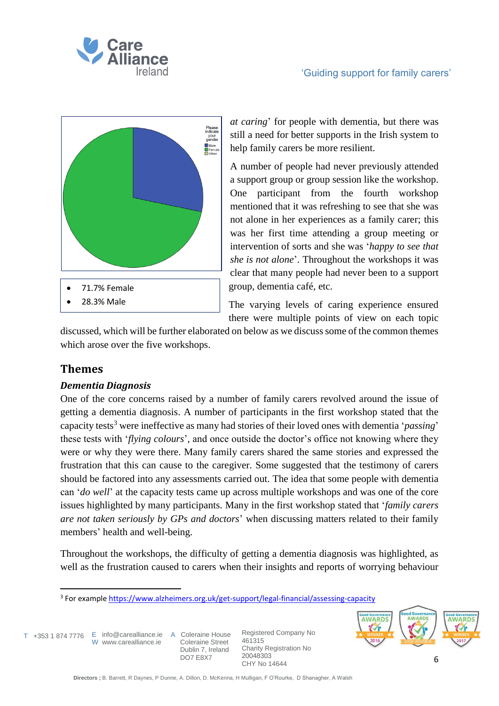



*at caring*' for people with dementia, but there was still a need for better supports in the Irish system to help family carers be more resilient.

A number of people had never previously attended a support group or group session like the workshop. One participant from the fourth workshop mentioned that it was refreshing to see that she was not alone in her experiences as a family carer; this was her first time attending a group meeting or intervention of sorts and she was '*happy to see that she is not alone*'. Throughout the workshops it was clear that many people had never been to a support group, dementia café, etc.

The varying levels of caring experience ensured there were multiple points of view on each topic

discussed, which will be further elaborated on below as we discuss some of the common themes which arose over the five workshops.

# **Themes**

## *Dementia Diagnosis*

One of the core concerns raised by a number of family carers revolved around the issue of getting a dementia diagnosis. A number of participants in the first workshop stated that the capacity tests<sup>3</sup> were ineffective as many had stories of their loved ones with dementia '*passing*' these tests with '*flying colours*', and once outside the doctor's office not knowing where they were or why they were there. Many family carers shared the same stories and expressed the frustration that this can cause to the caregiver. Some suggested that the testimony of carers should be factored into any assessments carried out. The idea that some people with dementia can '*do well*' at the capacity tests came up across multiple workshops and was one of the core issues highlighted by many participants. Many in the first workshop stated that '*family carers are not taken seriously by GPs and doctors*' when discussing matters related to their family members' health and well-being.

Throughout the workshops, the difficulty of getting a dementia diagnosis was highlighted, as well as the frustration caused to carers when their insights and reports of worrying behaviour

1

T +353 1 874 7776 E info@carealliance.ie A Coleraine House W www.carealliance.ie

 Coleraine Street Dublin 7, Ireland DO7 E8X7



<sup>&</sup>lt;sup>3</sup> For example<https://www.alzheimers.org.uk/get-support/legal-financial/assessing-capacity>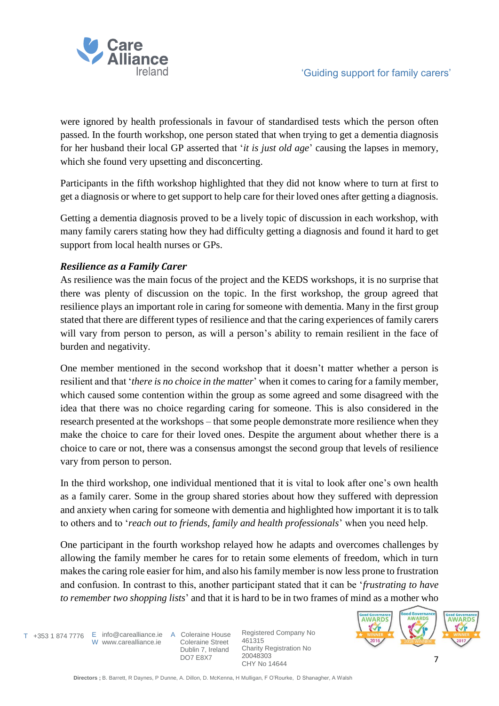

were ignored by health professionals in favour of standardised tests which the person often passed. In the fourth workshop, one person stated that when trying to get a dementia diagnosis for her husband their local GP asserted that '*it is just old age*' causing the lapses in memory, which she found very upsetting and disconcerting.

Participants in the fifth workshop highlighted that they did not know where to turn at first to get a diagnosis or where to get support to help care for their loved ones after getting a diagnosis.

Getting a dementia diagnosis proved to be a lively topic of discussion in each workshop, with many family carers stating how they had difficulty getting a diagnosis and found it hard to get support from local health nurses or GPs.

### *Resilience as a Family Carer*

As resilience was the main focus of the project and the KEDS workshops, it is no surprise that there was plenty of discussion on the topic. In the first workshop, the group agreed that resilience plays an important role in caring for someone with dementia. Many in the first group stated that there are different types of resilience and that the caring experiences of family carers will vary from person to person, as will a person's ability to remain resilient in the face of burden and negativity.

One member mentioned in the second workshop that it doesn't matter whether a person is resilient and that '*there is no choice in the matter*' when it comes to caring for a family member, which caused some contention within the group as some agreed and some disagreed with the idea that there was no choice regarding caring for someone. This is also considered in the research presented at the workshops – that some people demonstrate more resilience when they make the choice to care for their loved ones. Despite the argument about whether there is a choice to care or not, there was a consensus amongst the second group that levels of resilience vary from person to person.

In the third workshop, one individual mentioned that it is vital to look after one's own health as a family carer. Some in the group shared stories about how they suffered with depression and anxiety when caring for someone with dementia and highlighted how important it is to talk to others and to '*reach out to friends, family and health professionals*' when you need help.

One participant in the fourth workshop relayed how he adapts and overcomes challenges by allowing the family member he cares for to retain some elements of freedom, which in turn makes the caring role easier for him, and also his family member is now less prone to frustration and confusion. In contrast to this, another participant stated that it can be '*frustrating to have to remember two shopping lists*' and that it is hard to be in two frames of mind as a mother who

W www.carealliance.ie

T +353 1 874 7776 E info@carealliance.ie A Coleraine House Coleraine Street Dublin 7, Ireland DO7 E8X7

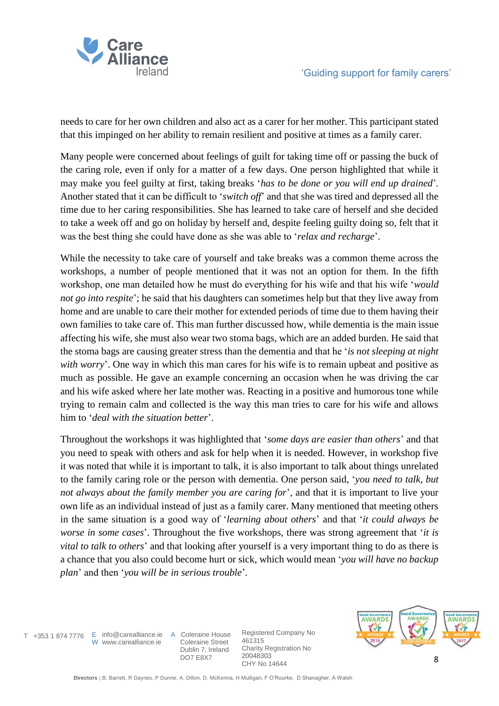

needs to care for her own children and also act as a carer for her mother. This participant stated that this impinged on her ability to remain resilient and positive at times as a family carer.

Many people were concerned about feelings of guilt for taking time off or passing the buck of the caring role, even if only for a matter of a few days. One person highlighted that while it may make you feel guilty at first, taking breaks '*has to be done or you will end up drained*'*.*  Another stated that it can be difficult to '*switch off*' and that she was tired and depressed all the time due to her caring responsibilities. She has learned to take care of herself and she decided to take a week off and go on holiday by herself and, despite feeling guilty doing so, felt that it was the best thing she could have done as she was able to '*relax and recharge*'.

While the necessity to take care of yourself and take breaks was a common theme across the workshops, a number of people mentioned that it was not an option for them. In the fifth workshop, one man detailed how he must do everything for his wife and that his wife '*would not go into respite*'; he said that his daughters can sometimes help but that they live away from home and are unable to care their mother for extended periods of time due to them having their own families to take care of. This man further discussed how, while dementia is the main issue affecting his wife, she must also wear two stoma bags, which are an added burden. He said that the stoma bags are causing greater stress than the dementia and that he '*is not sleeping at night with worry*'. One way in which this man cares for his wife is to remain upbeat and positive as much as possible. He gave an example concerning an occasion when he was driving the car and his wife asked where her late mother was. Reacting in a positive and humorous tone while trying to remain calm and collected is the way this man tries to care for his wife and allows him to '*deal with the situation better*'.

Throughout the workshops it was highlighted that '*some days are easier than others*' and that you need to speak with others and ask for help when it is needed. However, in workshop five it was noted that while it is important to talk, it is also important to talk about things unrelated to the family caring role or the person with dementia. One person said, '*you need to talk, but not always about the family member you are caring for*', and that it is important to live your own life as an individual instead of just as a family carer. Many mentioned that meeting others in the same situation is a good way of '*learning about others*' and that '*it could always be worse in some cases*'*.* Throughout the five workshops, there was strong agreement that '*it is vital to talk to others*' and that looking after yourself is a very important thing to do as there is a chance that you also could become hurt or sick, which would mean '*you will have no backup plan*' and then '*you will be in serious trouble*'*.*

W www.carealliance.ie

T +353 1 874 7776 E info@carealliance.ie A Coleraine House Coleraine Street Dublin 7, Ireland DO7 E8X7

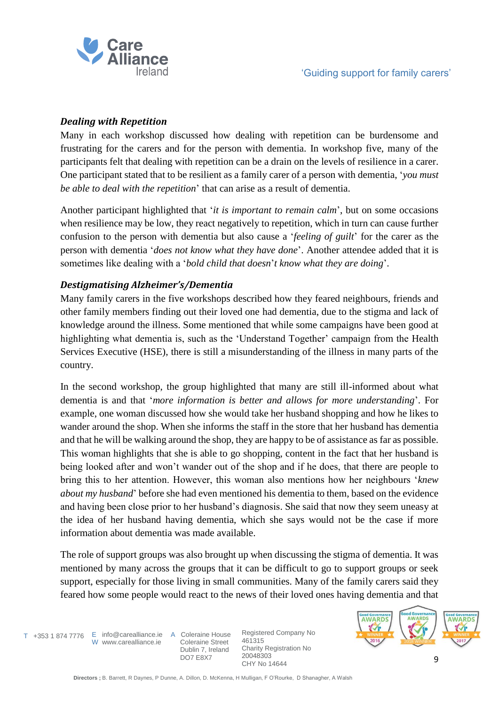

## *Dealing with Repetition*

Many in each workshop discussed how dealing with repetition can be burdensome and frustrating for the carers and for the person with dementia. In workshop five, many of the participants felt that dealing with repetition can be a drain on the levels of resilience in a carer. One participant stated that to be resilient as a family carer of a person with dementia, '*you must be able to deal with the repetition*' that can arise as a result of dementia.

Another participant highlighted that '*it is important to remain calm*', but on some occasions when resilience may be low, they react negatively to repetition, which in turn can cause further confusion to the person with dementia but also cause a '*feeling of guilt*' for the carer as the person with dementia '*does not know what they have done*'. Another attendee added that it is sometimes like dealing with a '*bold child that doesn*'*t know what they are doing*'.

## *Destigmatising Alzheimer's/Dementia*

Many family carers in the five workshops described how they feared neighbours, friends and other family members finding out their loved one had dementia, due to the stigma and lack of knowledge around the illness. Some mentioned that while some campaigns have been good at highlighting what dementia is, such as the 'Understand Together' campaign from the Health Services Executive (HSE), there is still a misunderstanding of the illness in many parts of the country.

In the second workshop, the group highlighted that many are still ill-informed about what dementia is and that '*more information is better and allows for more understanding*'. For example, one woman discussed how she would take her husband shopping and how he likes to wander around the shop. When she informs the staff in the store that her husband has dementia and that he will be walking around the shop, they are happy to be of assistance as far as possible. This woman highlights that she is able to go shopping, content in the fact that her husband is being looked after and won't wander out of the shop and if he does, that there are people to bring this to her attention. However, this woman also mentions how her neighbours '*knew about my husband*' before she had even mentioned his dementia to them, based on the evidence and having been close prior to her husband's diagnosis. She said that now they seem uneasy at the idea of her husband having dementia, which she says would not be the case if more information about dementia was made available.

The role of support groups was also brought up when discussing the stigma of dementia. It was mentioned by many across the groups that it can be difficult to go to support groups or seek support, especially for those living in small communities. Many of the family carers said they feared how some people would react to the news of their loved ones having dementia and that

W www.carealliance.ie

T +353 1 874 7776 E info@carealliance.ie A Coleraine House Coleraine Street Dublin 7, Ireland DO7 E8X7

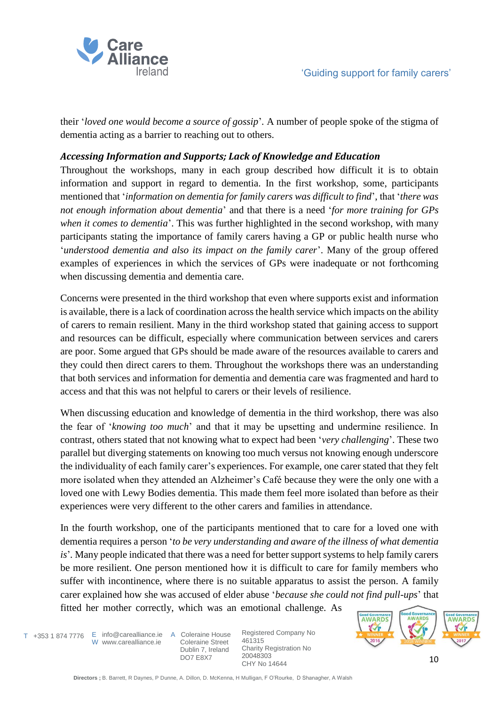

their '*loved one would become a source of gossip*'*.* A number of people spoke of the stigma of dementia acting as a barrier to reaching out to others.

## *Accessing Information and Supports; Lack of Knowledge and Education*

Throughout the workshops, many in each group described how difficult it is to obtain information and support in regard to dementia. In the first workshop, some, participants mentioned that '*information on dementia for family carers was difficult to find*', that '*there was not enough information about dementia*' and that there is a need '*for more training for GPs when it comes to dementia*'. This was further highlighted in the second workshop, with many participants stating the importance of family carers having a GP or public health nurse who '*understood dementia and also its impact on the family carer*'. Many of the group offered examples of experiences in which the services of GPs were inadequate or not forthcoming when discussing dementia and dementia care.

Concerns were presented in the third workshop that even where supports exist and information is available, there is a lack of coordination across the health service which impacts on the ability of carers to remain resilient. Many in the third workshop stated that gaining access to support and resources can be difficult, especially where communication between services and carers are poor. Some argued that GPs should be made aware of the resources available to carers and they could then direct carers to them. Throughout the workshops there was an understanding that both services and information for dementia and dementia care was fragmented and hard to access and that this was not helpful to carers or their levels of resilience.

When discussing education and knowledge of dementia in the third workshop, there was also the fear of '*knowing too much*' and that it may be upsetting and undermine resilience. In contrast, others stated that not knowing what to expect had been '*very challenging*'. These two parallel but diverging statements on knowing too much versus not knowing enough underscore the individuality of each family carer's experiences. For example, one carer stated that they felt more isolated when they attended an Alzheimer's Café because they were the only one with a loved one with Lewy Bodies dementia. This made them feel more isolated than before as their experiences were very different to the other carers and families in attendance.

In the fourth workshop, one of the participants mentioned that to care for a loved one with dementia requires a person '*to be very understanding and aware of the illness of what dementia is*'*.* Many people indicated that there was a need for better support systems to help family carers be more resilient. One person mentioned how it is difficult to care for family members who suffer with incontinence, where there is no suitable apparatus to assist the person. A family carer explained how she was accused of elder abuse '*because she could not find pull-ups*' that fitted her mother correctly, which was an emotional challenge. As

T +353 1 874 7776 E info@carealliance.ie A Coleraine House W www.carealliance.ie

 Coleraine Street Dublin 7, Ireland DO7 E8X7

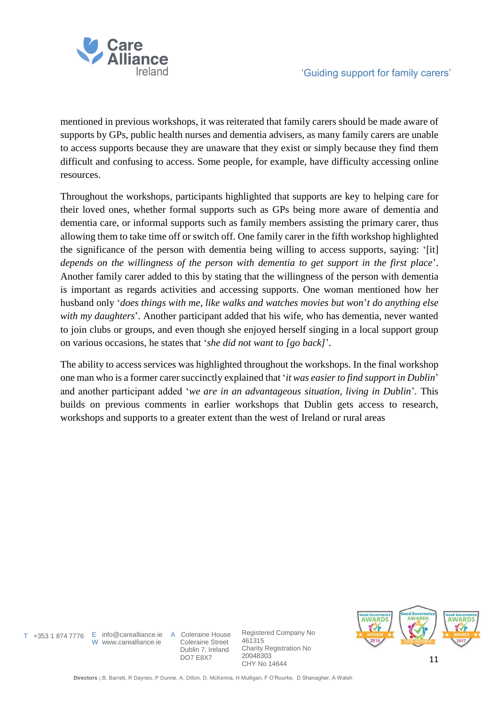

mentioned in previous workshops, it was reiterated that family carers should be made aware of supports by GPs, public health nurses and dementia advisers, as many family carers are unable to access supports because they are unaware that they exist or simply because they find them difficult and confusing to access. Some people, for example, have difficulty accessing online resources.

Throughout the workshops, participants highlighted that supports are key to helping care for their loved ones, whether formal supports such as GPs being more aware of dementia and dementia care, or informal supports such as family members assisting the primary carer, thus allowing them to take time off or switch off. One family carer in the fifth workshop highlighted the significance of the person with dementia being willing to access supports, saying: '[it] *depends on the willingness of the person with dementia to get support in the first place*'. Another family carer added to this by stating that the willingness of the person with dementia is important as regards activities and accessing supports. One woman mentioned how her husband only '*does things with me, like walks and watches movies but won*'*t do anything else with my daughters*'*.* Another participant added that his wife, who has dementia, never wanted to join clubs or groups, and even though she enjoyed herself singing in a local support group on various occasions, he states that '*she did not want to [go back]*'*.*

The ability to access services was highlighted throughout the workshops. In the final workshop one man who is a former carer succinctly explained that '*it was easier to find support in Dublin*' and another participant added '*we are in an advantageous situation, living in Dublin*'*.* This builds on previous comments in earlier workshops that Dublin gets access to research, workshops and supports to a greater extent than the west of Ireland or rural areas

W www.carealliance.ie

T +353 1 874 7776 E info@carealliance.ie A Coleraine House Coleraine Street Dublin 7, Ireland DO7 E8X7

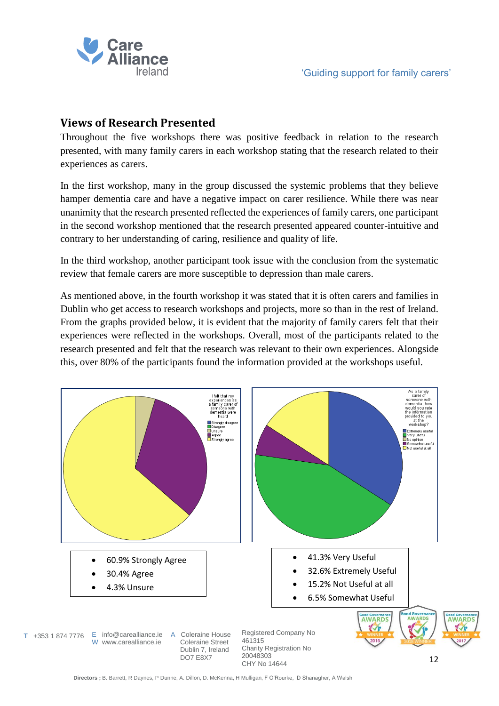

# **Views of Research Presented**

Throughout the five workshops there was positive feedback in relation to the research presented, with many family carers in each workshop stating that the research related to their experiences as carers.

In the first workshop, many in the group discussed the systemic problems that they believe hamper dementia care and have a negative impact on carer resilience. While there was near unanimity that the research presented reflected the experiences of family carers, one participant in the second workshop mentioned that the research presented appeared counter-intuitive and contrary to her understanding of caring, resilience and quality of life.

In the third workshop, another participant took issue with the conclusion from the systematic review that female carers are more susceptible to depression than male carers.

As mentioned above, in the fourth workshop it was stated that it is often carers and families in Dublin who get access to research workshops and projects, more so than in the rest of Ireland. From the graphs provided below, it is evident that the majority of family carers felt that their experiences were reflected in the workshops. Overall, most of the participants related to the research presented and felt that the research was relevant to their own experiences. Alongside this, over 80% of the participants found the information provided at the workshops useful.

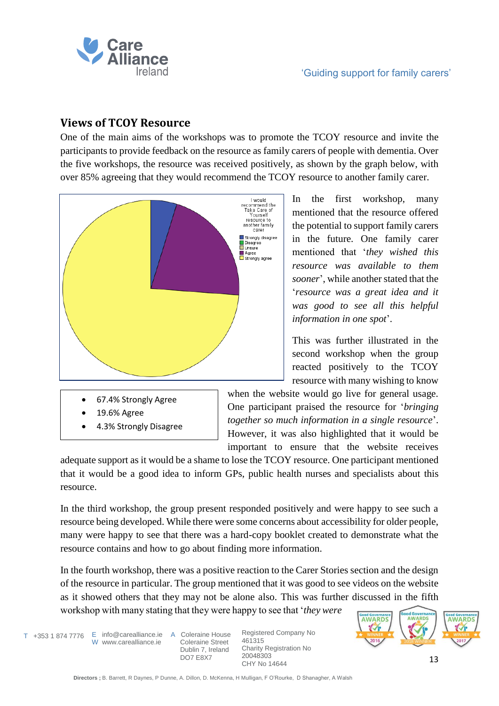

## **Views of TCOY Resource**

One of the main aims of the workshops was to promote the TCOY resource and invite the participants to provide feedback on the resource as family carers of people with dementia. Over the five workshops, the resource was received positively, as shown by the graph below, with over 85% agreeing that they would recommend the TCOY resource to another family carer.



- 67.4% Strongly Agree
- 19.6% Agree
- 4.3% Strongly Disagree

In the first workshop, many mentioned that the resource offered the potential to support family carers in the future. One family carer mentioned that '*they wished this resource was available to them sooner*', while another stated that the '*resource was a great idea and it was good to see all this helpful information in one spot*'.

This was further illustrated in the second workshop when the group reacted positively to the TCOY resource with many wishing to know

when the website would go live for general usage. One participant praised the resource for '*bringing together so much information in a single resource*'. However, it was also highlighted that it would be important to ensure that the website receives

adequate support as it would be a shame to lose the TCOY resource. One participant mentioned that it would be a good idea to inform GPs, public health nurses and specialists about this resource.

In the third workshop, the group present responded positively and were happy to see such a resource being developed. While there were some concerns about accessibility for older people, many were happy to see that there was a hard-copy booklet created to demonstrate what the resource contains and how to go about finding more information.

In the fourth workshop, there was a positive reaction to the Carer Stories section and the design of the resource in particular. The group mentioned that it was good to see videos on the website as it showed others that they may not be alone also. This was further discussed in the fifth workshop with many stating that they were happy to see that '*they were* 

T +353 1 874 7776 E info@carealliance.ie A Coleraine House W www.carealliance.ie

 Coleraine Street Dublin 7, Ireland DO7 E8X7

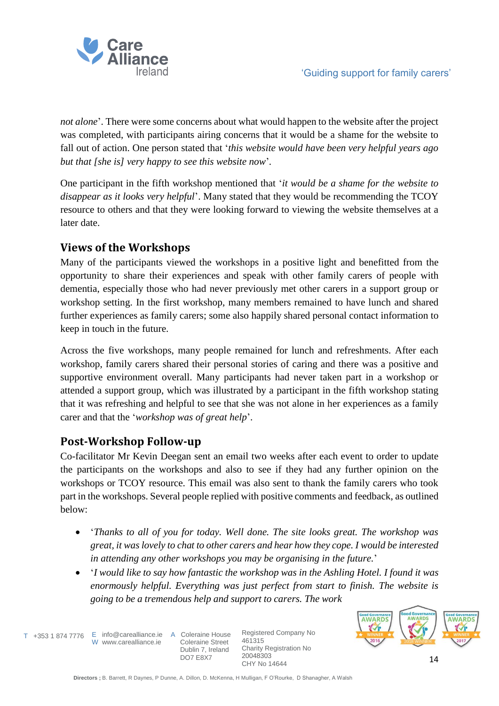

*not alone*'. There were some concerns about what would happen to the website after the project was completed, with participants airing concerns that it would be a shame for the website to fall out of action. One person stated that '*this website would have been very helpful years ago but that [she is] very happy to see this website now*'*.*

One participant in the fifth workshop mentioned that '*it would be a shame for the website to disappear as it looks very helpful*'. Many stated that they would be recommending the TCOY resource to others and that they were looking forward to viewing the website themselves at a later date.

# **Views of the Workshops**

Many of the participants viewed the workshops in a positive light and benefitted from the opportunity to share their experiences and speak with other family carers of people with dementia, especially those who had never previously met other carers in a support group or workshop setting. In the first workshop, many members remained to have lunch and shared further experiences as family carers; some also happily shared personal contact information to keep in touch in the future.

Across the five workshops, many people remained for lunch and refreshments. After each workshop, family carers shared their personal stories of caring and there was a positive and supportive environment overall. Many participants had never taken part in a workshop or attended a support group, which was illustrated by a participant in the fifth workshop stating that it was refreshing and helpful to see that she was not alone in her experiences as a family carer and that the '*workshop was of great help*'.

# **Post-Workshop Follow-up**

Co-facilitator Mr Kevin Deegan sent an email two weeks after each event to order to update the participants on the workshops and also to see if they had any further opinion on the workshops or TCOY resource. This email was also sent to thank the family carers who took part in the workshops. Several people replied with positive comments and feedback, as outlined below:

- '*Thanks to all of you for today. Well done. The site looks great. The workshop was great, it was lovely to chat to other carers and hear how they cope. I would be interested in attending any other workshops you may be organising in the future.*'
- '*I would like to say how fantastic the workshop was in the Ashling Hotel. I found it was enormously helpful. Everything was just perfect from start to finish. The website is going to be a tremendous help and support to carers. The work*

T +353 1 874 7776 E info@carealliance.ie A Coleraine House W www.carealliance.ie

 Coleraine Street Dublin 7, Ireland DO7 E8X7

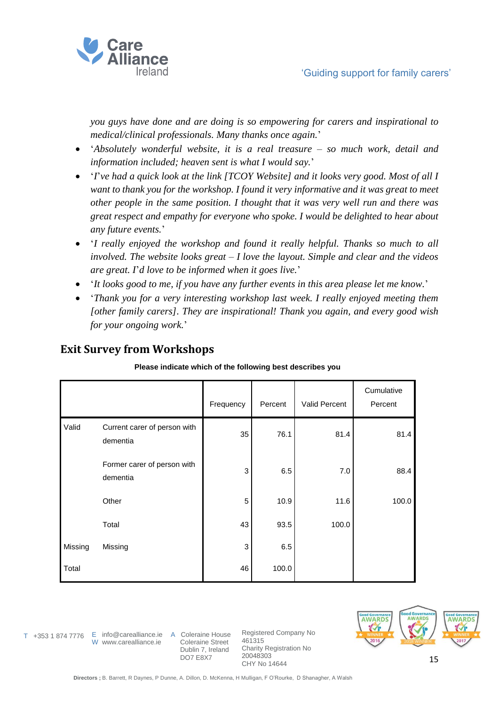

*you guys have done and are doing is so empowering for carers and inspirational to medical/clinical professionals. Many thanks once again.*'

- '*Absolutely wonderful website, it is a real treasure – so much work, detail and information included; heaven sent is what I would say.*'
- '*I*'*ve had a quick look at the link [TCOY Website] and it looks very good. Most of all I want to thank you for the workshop. I found it very informative and it was great to meet other people in the same position. I thought that it was very well run and there was great respect and empathy for everyone who spoke. I would be delighted to hear about any future events.*'
- '*I really enjoyed the workshop and found it really helpful. Thanks so much to all involved. The website looks great – I love the layout. Simple and clear and the videos are great. I*'*d love to be informed when it goes live.*'
- '*It looks good to me, if you have any further events in this area please let me know.*'
- '*Thank you for a very interesting workshop last week. I really enjoyed meeting them [other family carers]. They are inspirational! Thank you again, and every good wish for your ongoing work.*'

# **Exit Survey from Workshops**

### **Please indicate which of the following best describes you**

|         |                                          | Frequency | Percent | <b>Valid Percent</b> | Cumulative<br>Percent |
|---------|------------------------------------------|-----------|---------|----------------------|-----------------------|
| Valid   | Current carer of person with<br>dementia | 35        | 76.1    | 81.4                 | 81.4                  |
|         | Former carer of person with<br>dementia  | 3         | 6.5     | 7.0                  | 88.4                  |
|         | Other                                    | 5         | 10.9    | 11.6                 | 100.0                 |
|         | Total                                    | 43        | 93.5    | 100.0                |                       |
| Missing | Missing                                  | 3         | 6.5     |                      |                       |
| Total   |                                          | 46        | 100.0   |                      |                       |



W www.carealliance.ie

T +353 1 874 7776 E info@carealliance.ie A Coleraine House Coleraine Street Dublin 7, Ireland DO7 E8X7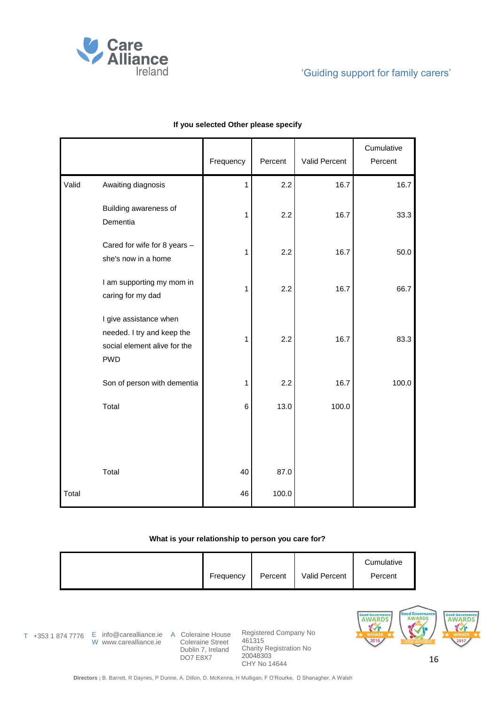

|       |                                                                                                    | Frequency    | Percent | Valid Percent | Cumulative<br>Percent |
|-------|----------------------------------------------------------------------------------------------------|--------------|---------|---------------|-----------------------|
| Valid | Awaiting diagnosis                                                                                 | $\mathbf{1}$ | 2.2     | 16.7          | 16.7                  |
|       | Building awareness of<br>Dementia                                                                  | $\mathbf{1}$ | 2.2     | 16.7          | 33.3                  |
|       | Cared for wife for 8 years -<br>she's now in a home                                                | $\mathbf{1}$ | 2.2     | 16.7          | 50.0                  |
|       | I am supporting my mom in<br>caring for my dad                                                     | $\mathbf{1}$ | 2.2     | 16.7          | 66.7                  |
|       | I give assistance when<br>needed. I try and keep the<br>social element alive for the<br><b>PWD</b> | $\mathbf{1}$ | 2.2     | 16.7          | 83.3                  |
|       | Son of person with dementia                                                                        | 1            | 2.2     | 16.7          | 100.0                 |
|       | Total                                                                                              | 6            | 13.0    | 100.0         |                       |
|       |                                                                                                    |              |         |               |                       |
|       | Total                                                                                              | 40           | 87.0    |               |                       |
| Total |                                                                                                    | 46           | 100.0   |               |                       |

#### **If you selected Other please specify**

### **What is your relationship to person you care for?**

|  | Frequency | Percent | <b>Valid Percent</b> | Cumulative<br>Percent |
|--|-----------|---------|----------------------|-----------------------|
|--|-----------|---------|----------------------|-----------------------|

W www.carealliance.ie

T +353 1 874 7776 E info@carealliance.ie A Coleraine House Coleraine Street Dublin 7, Ireland DO7 E8X7

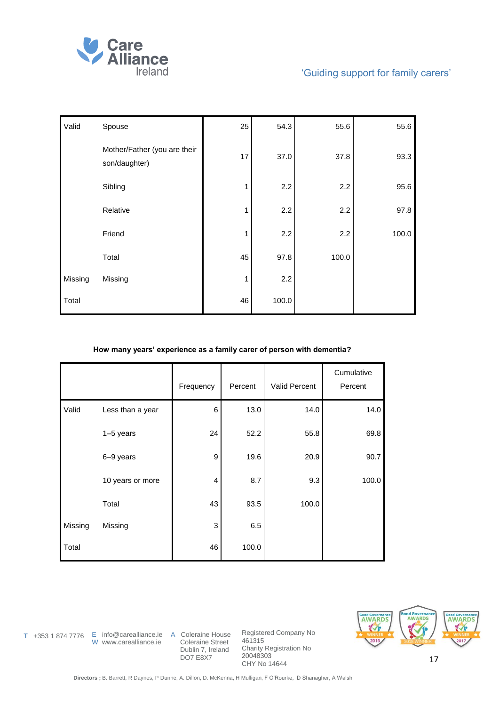

| Valid   | Spouse                                        | 25 | 54.3  | 55.6  | 55.6  |
|---------|-----------------------------------------------|----|-------|-------|-------|
|         | Mother/Father (you are their<br>son/daughter) | 17 | 37.0  | 37.8  | 93.3  |
|         | Sibling                                       | 1  | 2.2   | 2.2   | 95.6  |
|         | Relative                                      | 1  | 2.2   | 2.2   | 97.8  |
|         | Friend                                        | 1  | 2.2   | 2.2   | 100.0 |
|         | Total                                         | 45 | 97.8  | 100.0 |       |
| Missing | Missing                                       | 1  | 2.2   |       |       |
| Total   |                                               | 46 | 100.0 |       |       |

### **How many years' experience as a family carer of person with dementia?**

|         |                  | Frequency      | Percent | Valid Percent | Cumulative<br>Percent |
|---------|------------------|----------------|---------|---------------|-----------------------|
| Valid   | Less than a year | 6              | 13.0    | 14.0          | 14.0                  |
|         | $1-5$ years      | 24             | 52.2    | 55.8          | 69.8                  |
|         | 6-9 years        | 9              | 19.6    | 20.9          | 90.7                  |
|         | 10 years or more | $\overline{4}$ | 8.7     | 9.3           | 100.0                 |
|         | Total            | 43             | 93.5    | 100.0         |                       |
| Missing | Missing          | 3              | 6.5     |               |                       |
| Total   |                  | 46             | 100.0   |               |                       |



W www.carealliance.ie

T +353 1 874 7776 E info@carealliance.ie A Coleraine House Coleraine Street Dublin 7, Ireland DO7 E8X7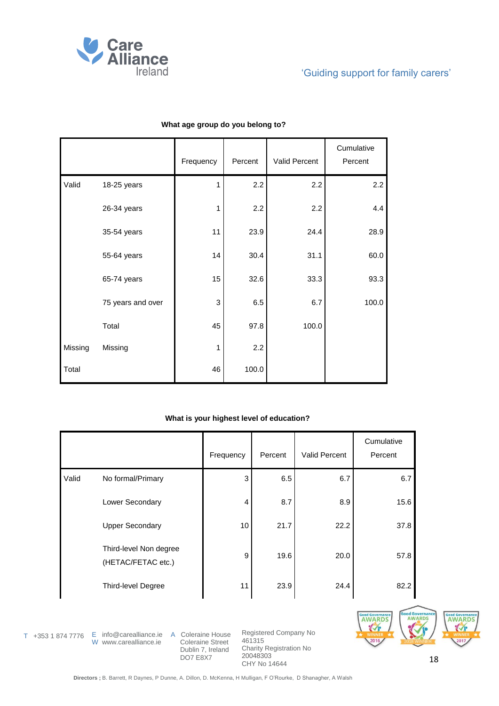

|         |                   | Frequency | Percent | Valid Percent | Cumulative<br>Percent |
|---------|-------------------|-----------|---------|---------------|-----------------------|
| Valid   | 18-25 years       | 1         | 2.2     | 2.2           | 2.2                   |
|         | 26-34 years       | 1         | 2.2     | 2.2           | 4.4                   |
|         | 35-54 years       | 11        | 23.9    | 24.4          | 28.9                  |
|         | 55-64 years       | 14        | 30.4    | 31.1          | 60.0                  |
|         | 65-74 years       | 15        | 32.6    | 33.3          | 93.3                  |
|         | 75 years and over | 3         | 6.5     | 6.7           | 100.0                 |
|         | Total             | 45        | 97.8    | 100.0         |                       |
| Missing | Missing           | 1         | 2.2     |               |                       |
| Total   |                   | 46        | 100.0   |               |                       |

### **What age group do you belong to?**

### **What is your highest level of education?**

|       |                                              | Frequency | Percent | Valid Percent | Cumulative<br>Percent |
|-------|----------------------------------------------|-----------|---------|---------------|-----------------------|
| Valid | No formal/Primary                            | 3         | 6.5     | 6.7           | 6.7                   |
|       | Lower Secondary                              | 4         | 8.7     | 8.9           | 15.6                  |
|       | <b>Upper Secondary</b>                       | 10        | 21.7    | 22.2          | 37.8                  |
|       | Third-level Non degree<br>(HETAC/FETAC etc.) | 9         | 19.6    | 20.0          | 57.8                  |
|       | <b>Third-level Degree</b>                    | 11        | 23.9    | 24.4          | 82.2                  |

W www.carealliance.ie

T +353 1 874 7776 E info@carealliance.ie A Coleraine House Coleraine Street Dublin 7, Ireland DO7 E8X7

Registered Company No 461315 Charity Registration No 20048303 CHY No 14644



18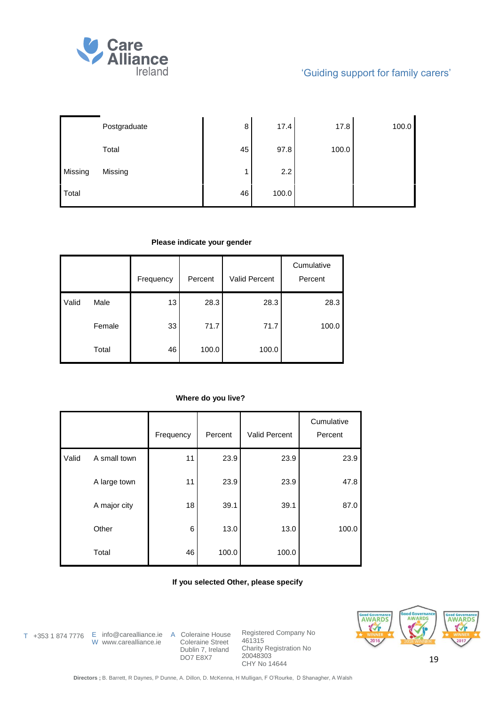

|         | Postgraduate | 8  | 17.4  | 17.8  | 100.0 |
|---------|--------------|----|-------|-------|-------|
|         | Total        | 45 | 97.8  | 100.0 |       |
| Missing | Missing      |    | 2.2   |       |       |
| Total   |              | 46 | 100.0 |       |       |

#### **Please indicate your gender**

|       |        | Frequency | Percent | Valid Percent | Cumulative<br>Percent |
|-------|--------|-----------|---------|---------------|-----------------------|
| Valid | Male   | 13        | 28.3    | 28.3          | 28.3                  |
|       | Female | 33        | 71.7    | 71.7          | 100.0                 |
|       | Total  | 46        | 100.0   | 100.0         |                       |

### **Where do you live?**

|       |              | Frequency | Percent | <b>Valid Percent</b> | Cumulative<br>Percent |
|-------|--------------|-----------|---------|----------------------|-----------------------|
| Valid | A small town | 11        | 23.9    | 23.9                 | 23.9                  |
|       | A large town | 11        | 23.9    | 23.9                 | 47.8                  |
|       | A major city | 18        | 39.1    | 39.1                 | 87.0                  |
|       | Other        | 6         | 13.0    | 13.0                 | 100.0                 |
|       | Total        | 46        | 100.0   | 100.0                |                       |

### **If you selected Other, please specify**

W www.carealliance.ie

T +353 1 874 7776 E info@carealliance.ie A Coleraine House Coleraine Street Dublin 7, Ireland DO7 E8X7

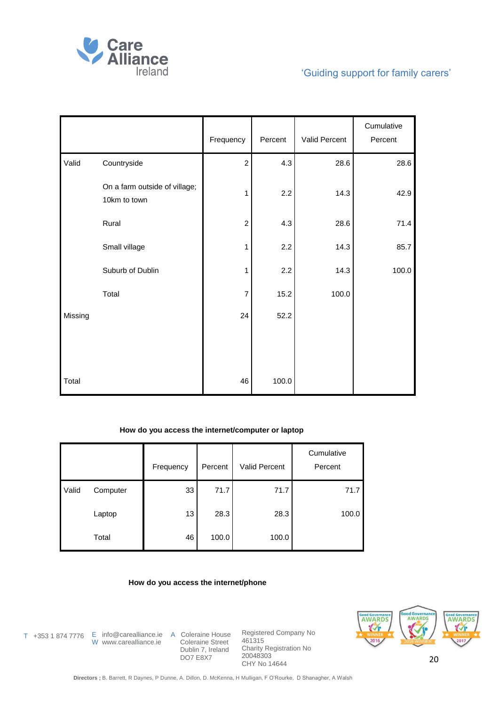

|         |                                               | Frequency      | Percent | Valid Percent | Cumulative<br>Percent |
|---------|-----------------------------------------------|----------------|---------|---------------|-----------------------|
| Valid   | Countryside                                   | $\overline{c}$ | 4.3     | 28.6          | 28.6                  |
|         | On a farm outside of village;<br>10km to town | 1              | 2.2     | 14.3          | 42.9                  |
|         | Rural                                         | $\overline{c}$ | 4.3     | 28.6          | 71.4                  |
|         | Small village                                 | 1              | 2.2     | 14.3          | 85.7                  |
|         | Suburb of Dublin                              | $\mathbf{1}$   | 2.2     | 14.3          | 100.0                 |
|         | Total                                         | $\overline{7}$ | 15.2    | 100.0         |                       |
| Missing |                                               | 24             | 52.2    |               |                       |
|         |                                               |                |         |               |                       |
| Total   |                                               | 46             | 100.0   |               |                       |

### **How do you access the internet/computer or laptop**

|       |          | Frequency | Percent | Valid Percent | Cumulative<br>Percent |
|-------|----------|-----------|---------|---------------|-----------------------|
| Valid | Computer | 33        | 71.7    | 71.7          | 71.7                  |
|       | Laptop   | 13        | 28.3    | 28.3          | 100.0                 |
|       | Total    | 46        | 100.0   | 100.0         |                       |

#### **How do you access the internet/phone**

T +353 1 874 7776 E info@carealliance.ie A Coleraine House W www.carealliance.ie

 Coleraine Street Dublin 7, Ireland DO7 E8X7

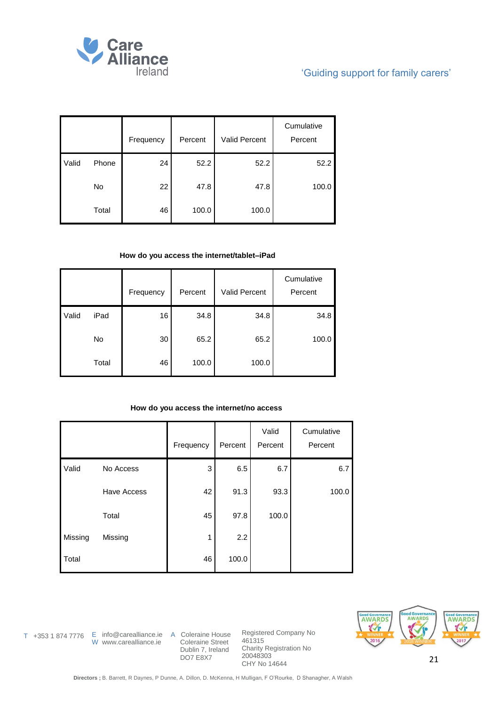

|       |       | Frequency | Percent | <b>Valid Percent</b> | Cumulative<br>Percent |
|-------|-------|-----------|---------|----------------------|-----------------------|
| Valid | Phone | 24        | 52.2    | 52.2                 | 52.2                  |
|       | No    | 22        | 47.8    | 47.8                 | 100.0                 |
|       | Total | 46        | 100.0   | 100.0                |                       |

### **How do you access the internet/tablet–iPad**

|       |       | Frequency | Percent | <b>Valid Percent</b> | Cumulative<br>Percent |
|-------|-------|-----------|---------|----------------------|-----------------------|
| Valid | iPad  | 16        | 34.8    | 34.8                 | 34.8                  |
|       | No    | 30        | 65.2    | 65.2                 | 100.0                 |
|       | Total | 46        | 100.0   | 100.0                |                       |

### **How do you access the internet/no access**

|         |             | Frequency | Percent | Valid<br>Percent | Cumulative<br>Percent |
|---------|-------------|-----------|---------|------------------|-----------------------|
| Valid   | No Access   | 3         | 6.5     | 6.7              | 6.7                   |
|         | Have Access | 42        | 91.3    | 93.3             | 100.0                 |
|         | Total       | 45        | 97.8    | 100.0            |                       |
| Missing | Missing     | 1         | 2.2     |                  |                       |
| Total   |             | 46        | 100.0   |                  |                       |

W www.carealliance.ie

T +353 1 874 7776 E info@carealliance.ie A Coleraine House Coleraine Street Dublin 7, Ireland DO7 E8X7

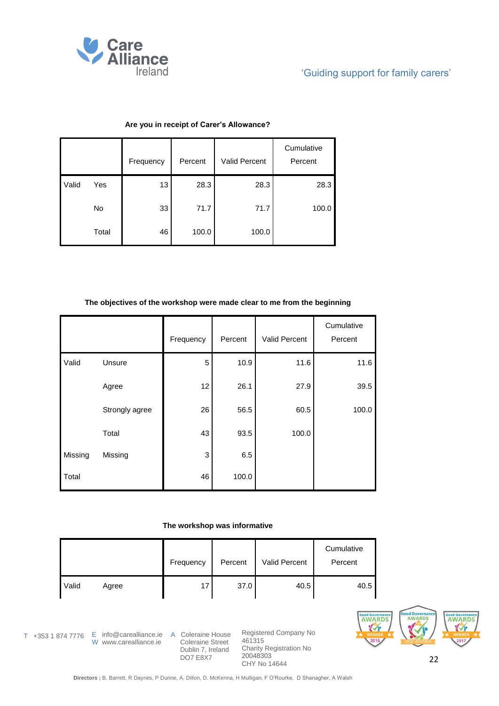

|       |       | Frequency | Percent | <b>Valid Percent</b> | Cumulative<br>Percent |
|-------|-------|-----------|---------|----------------------|-----------------------|
| Valid | Yes   | 13        | 28.3    | 28.3                 | 28.3                  |
|       | No    | 33        | 71.7    | 71.7                 | 100.0                 |
|       | Total | 46        | 100.0   | 100.0                |                       |

### **Are you in receipt of Carer's Allowance?**

### **The objectives of the workshop were made clear to me from the beginning**

|         |                | Frequency | Percent | Valid Percent | Cumulative<br>Percent |
|---------|----------------|-----------|---------|---------------|-----------------------|
| Valid   | Unsure         | 5         | 10.9    | 11.6          | 11.6                  |
|         | Agree          | 12        | 26.1    | 27.9          | 39.5                  |
|         | Strongly agree | 26        | 56.5    | 60.5          | 100.0                 |
|         | Total          | 43        | 93.5    | 100.0         |                       |
| Missing | Missing        | 3         | 6.5     |               |                       |
| Total   |                | 46        | 100.0   |               |                       |

#### **The workshop was informative**

|              |       | Frequency | Percent | Valid Percent | Cumulative<br>Percent |
|--------------|-------|-----------|---------|---------------|-----------------------|
| <b>Valid</b> | Agree | 17        | 37.0    | 40.5          | 40.5                  |

T +353 1 874 7776 E info@carealliance.ie A Coleraine House

W www.carealliance.ie

 Coleraine Street Dublin 7, Ireland DO7 E8X7

Registered Company No 461315 Charity Registration No 20048303 CHY No 14644



22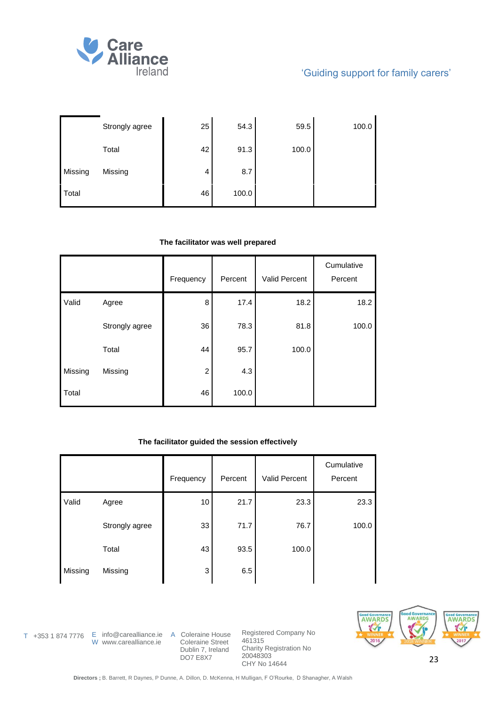

|         | Strongly agree | 25 | 54.3  | 59.5  | 100.0 |
|---------|----------------|----|-------|-------|-------|
|         | Total          | 42 | 91.3  | 100.0 |       |
| Missing | Missing        | 4  | 8.7   |       |       |
| Total   |                | 46 | 100.0 |       |       |

#### **The facilitator was well prepared**

|         |                | Frequency      | Percent | Valid Percent | Cumulative<br>Percent |
|---------|----------------|----------------|---------|---------------|-----------------------|
| Valid   | Agree          | 8              | 17.4    | 18.2          | 18.2                  |
|         | Strongly agree | 36             | 78.3    | 81.8          | 100.0                 |
|         | Total          | 44             | 95.7    | 100.0         |                       |
| Missing | Missing        | $\overline{c}$ | 4.3     |               |                       |
| Total   |                | 46             | 100.0   |               |                       |

### **The facilitator guided the session effectively**

|         |                | Frequency | Percent | <b>Valid Percent</b> | Cumulative<br>Percent |
|---------|----------------|-----------|---------|----------------------|-----------------------|
| Valid   | Agree          | 10        | 21.7    | 23.3                 | 23.3                  |
|         | Strongly agree | 33        | 71.7    | 76.7                 | 100.0                 |
|         | Total          | 43        | 93.5    | 100.0                |                       |
| Missing | Missing        | 3         | 6.5     |                      |                       |

W www.carealliance.ie

T +353 1 874 7776 E info@carealliance.ie A Coleraine House Coleraine Street Dublin 7, Ireland DO7 E8X7

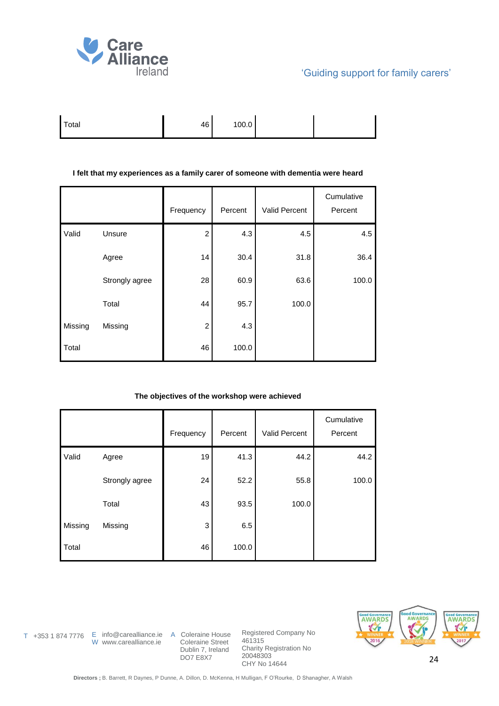

| Total | 46 | 100.0 |  |  |
|-------|----|-------|--|--|
|-------|----|-------|--|--|

#### **I felt that my experiences as a family carer of someone with dementia were heard**

|         |                | Frequency      | Percent | <b>Valid Percent</b> | Cumulative<br>Percent |
|---------|----------------|----------------|---------|----------------------|-----------------------|
| Valid   | Unsure         | $\overline{c}$ | 4.3     | 4.5                  | 4.5                   |
|         | Agree          | 14             | 30.4    | 31.8                 | 36.4                  |
|         | Strongly agree | 28             | 60.9    | 63.6                 | 100.0                 |
|         | Total          | 44             | 95.7    | 100.0                |                       |
| Missing | Missing        | $\overline{c}$ | 4.3     |                      |                       |
| Total   |                | 46             | 100.0   |                      |                       |

### **The objectives of the workshop were achieved**

|         |                | Frequency | Percent | <b>Valid Percent</b> | Cumulative<br>Percent |
|---------|----------------|-----------|---------|----------------------|-----------------------|
| Valid   | Agree          | 19        | 41.3    | 44.2                 | 44.2                  |
|         | Strongly agree | 24        | 52.2    | 55.8                 | 100.0                 |
|         | Total          | 43        | 93.5    | 100.0                |                       |
| Missing | Missing        | 3         | 6.5     |                      |                       |
| Total   |                | 46        | 100.0   |                      |                       |



W www.carealliance.ie

T +353 1 874 7776 E info@carealliance.ie A Coleraine House Coleraine Street Dublin 7, Ireland DO7 E8X7

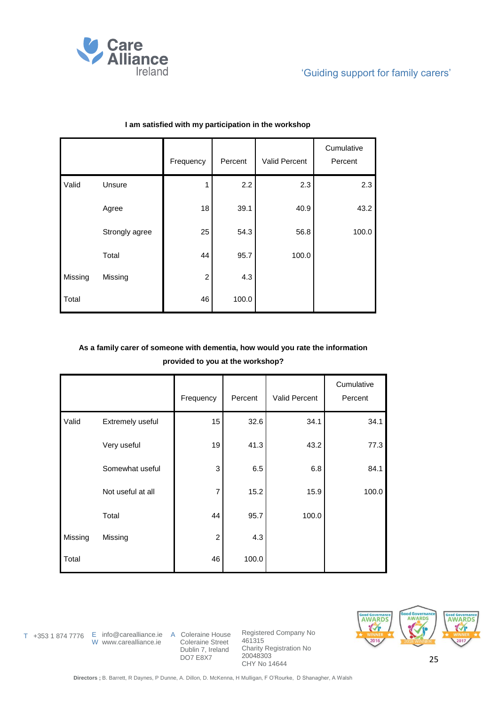

|         |                | Frequency      | Percent | Valid Percent | Cumulative<br>Percent |
|---------|----------------|----------------|---------|---------------|-----------------------|
| Valid   | Unsure         |                | 2.2     | 2.3           | 2.3                   |
|         | Agree          | 18             | 39.1    | 40.9          | 43.2                  |
|         | Strongly agree | 25             | 54.3    | 56.8          | 100.0                 |
|         | Total          | 44             | 95.7    | 100.0         |                       |
| Missing | Missing        | $\overline{c}$ | 4.3     |               |                       |
| Total   |                | 46             | 100.0   |               |                       |

#### **I am satisfied with my participation in the workshop**

## **As a family carer of someone with dementia, how would you rate the information provided to you at the workshop?**

|         |                   | Frequency      | Percent | <b>Valid Percent</b> | Cumulative<br>Percent |
|---------|-------------------|----------------|---------|----------------------|-----------------------|
| Valid   | Extremely useful  | 15             | 32.6    | 34.1                 | 34.1                  |
|         | Very useful       | 19             | 41.3    | 43.2                 | 77.3                  |
|         | Somewhat useful   | 3              | 6.5     | 6.8                  | 84.1                  |
|         | Not useful at all | $\overline{7}$ | 15.2    | 15.9                 | 100.0                 |
|         | Total             | 44             | 95.7    | 100.0                |                       |
| Missing | Missing           | $\overline{c}$ | 4.3     |                      |                       |
| Total   |                   | 46             | 100.0   |                      |                       |



W www.carealliance.ie

T +353 1 874 7776 E info@carealliance.ie A Coleraine House Coleraine Street Dublin 7, Ireland DO7 E8X7